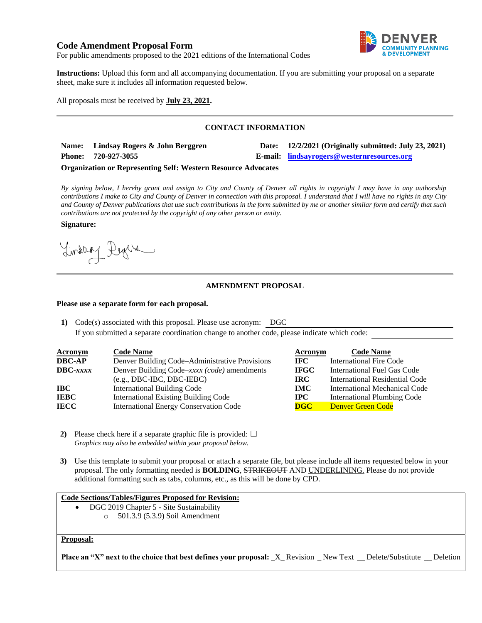# **Code Amendment Proposal Form**



For public amendments proposed to the 2021 editions of the International Codes

**Instructions:** Upload this form and all accompanying documentation. If you are submitting your proposal on a separate sheet, make sure it includes all information requested below.

All proposals must be received by **July 23, 2021.**

## **CONTACT INFORMATION**

|                      | Name: Lindsay Rogers & John Berggren                | Date: 12/2/2021 (Originally submitted: July 23, 2021) |
|----------------------|-----------------------------------------------------|-------------------------------------------------------|
|                      | Phone: 720-927-3055                                 | E-mail: lindsayrogers@westernresources.org            |
| $\sim$ $\sim$ $\sim$ | $\sim$ $\sim$ $\sim$ $\sim$ $\sim$ $\sim$<br>$\sim$ |                                                       |

#### **Organization or Representing Self: Western Resource Advocates**

*By signing below, I hereby grant and assign to City and County of Denver all rights in copyright I may have in any authorship contributions I make to City and County of Denver in connection with this proposal. I understand that I will have no rights in any City and County of Denver publications that use such contributions in the form submitted by me or another similar form and certify that such contributions are not protected by the copyright of any other person or entity.* 

#### **Signature:**

Lindson Degree

# **AMENDMENT PROPOSAL**

## **Please use a separate form for each proposal.**

**1)** Code(s) associated with this proposal. Please use acronym: DGC If you submitted a separate coordination change to another code, please indicate which code:

| <b>Acronym</b>  | <b>Code Name</b>                               | <b>Acronym</b> | <b>Code Name</b>                   |
|-----------------|------------------------------------------------|----------------|------------------------------------|
| DBC-AP          | Denver Building Code–Administrative Provisions | IFC.           | International Fire Code            |
| <b>DBC-xxxx</b> | Denver Building Code-xxxx (code) amendments    | <b>IFGC</b>    | International Fuel Gas Code        |
|                 | $(e.g., DBC-IBC, DBC-IEBC)$                    | IRC.           | International Residential Code     |
| IBC             | <b>International Building Code</b>             | <b>IMC</b>     | International Mechanical Code      |
| IEBC            | <b>International Existing Building Code</b>    | $\bf IPC$      | <b>International Plumbing Code</b> |
| IECC            | <b>International Energy Conservation Code</b>  | $\bf DGC$      | Denver Green Code                  |

- **2)** Please check here if a separate graphic file is provided:  $\Box$ *Graphics may also be embedded within your proposal below.*
- **3)** Use this template to submit your proposal or attach a separate file, but please include all items requested below in your proposal. The only formatting needed is **BOLDING**, STRIKEOUT AND UNDERLINING. Please do not provide additional formatting such as tabs, columns, etc., as this will be done by CPD.

### **Code Sections/Tables/Figures Proposed for Revision:**

- DGC 2019 Chapter 5 Site Sustainability
	- o 501.3.9 (5.3.9) Soil Amendment

## **Proposal:**

**Place an "X" next to the choice that best defines your proposal:**  $X$  Revision \_ New Text \_ Delete/Substitute \_ Deletion